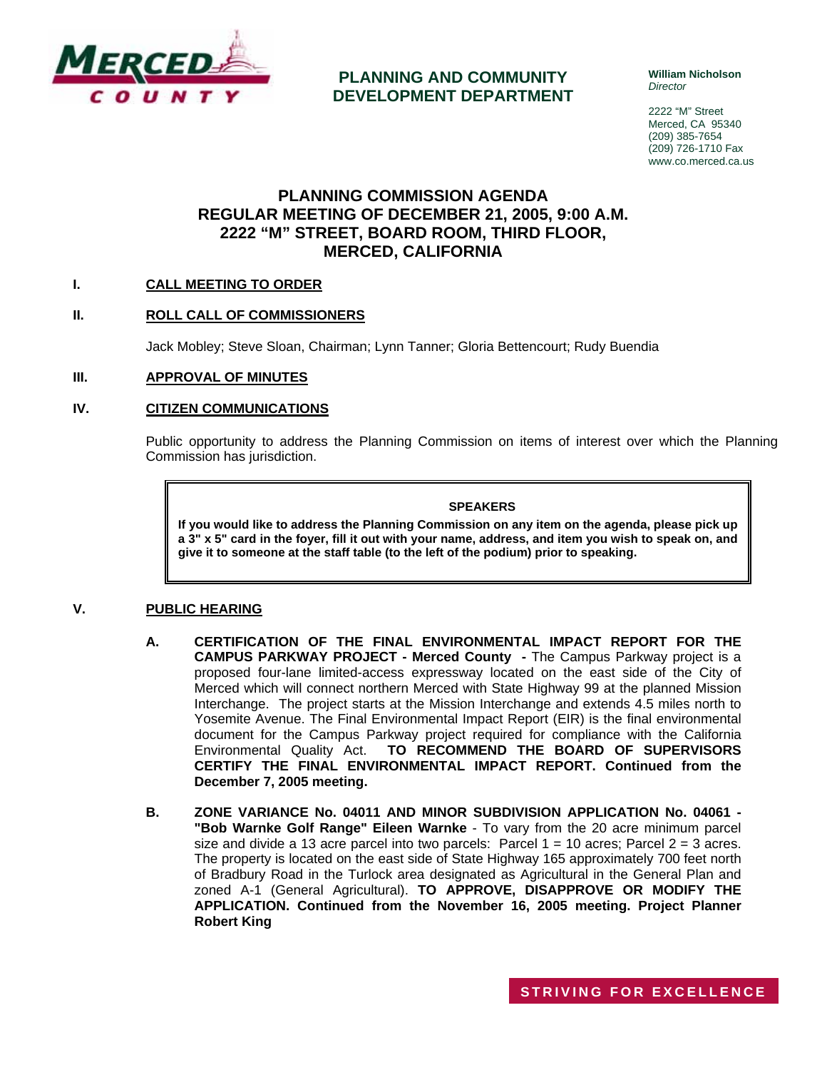

## **PLANNING AND COMMUNITY DEVELOPMENT DEPARTMENT**

**William Nicholson**  *Director* 

2222 "M" Street Merced, CA 95340 (209) 385-7654 (209) 726-1710 Fax www.co.merced.ca.us

# **PLANNING COMMISSION AGENDA REGULAR MEETING OF DECEMBER 21, 2005, 9:00 A.M. 2222 "M" STREET, BOARD ROOM, THIRD FLOOR, MERCED, CALIFORNIA**

### **I. CALL MEETING TO ORDER**

### **II. ROLL CALL OF COMMISSIONERS**

Jack Mobley; Steve Sloan, Chairman; Lynn Tanner; Gloria Bettencourt; Rudy Buendia

### **III. APPROVAL OF MINUTES**

### **IV. CITIZEN COMMUNICATIONS**

Public opportunity to address the Planning Commission on items of interest over which the Planning Commission has jurisdiction.

### **SPEAKERS**

**If you would like to address the Planning Commission on any item on the agenda, please pick up a 3" x 5" card in the foyer, fill it out with your name, address, and item you wish to speak on, and give it to someone at the staff table (to the left of the podium) prior to speaking.**

### **V. PUBLIC HEARING**

- **A. CERTIFICATION OF THE FINAL ENVIRONMENTAL IMPACT REPORT FOR THE CAMPUS PARKWAY PROJECT - Merced County -** The Campus Parkway project is a proposed four-lane limited-access expressway located on the east side of the City of Merced which will connect northern Merced with State Highway 99 at the planned Mission Interchange. The project starts at the Mission Interchange and extends 4.5 miles north to Yosemite Avenue. The Final Environmental Impact Report (EIR) is the final environmental document for the Campus Parkway project required for compliance with the California Environmental Quality Act. **TO RECOMMEND THE BOARD OF SUPERVISORS CERTIFY THE FINAL ENVIRONMENTAL IMPACT REPORT. Continued from the December 7, 2005 meeting.**
- **B. ZONE VARIANCE No. 04011 AND MINOR SUBDIVISION APPLICATION No. 04061 - "Bob Warnke Golf Range" Eileen Warnke** - To vary from the 20 acre minimum parcel size and divide a 13 acre parcel into two parcels: Parcel  $1 = 10$  acres; Parcel  $2 = 3$  acres. The property is located on the east side of State Highway 165 approximately 700 feet north of Bradbury Road in the Turlock area designated as Agricultural in the General Plan and zoned A-1 (General Agricultural). **TO APPROVE, DISAPPROVE OR MODIFY THE APPLICATION. Continued from the November 16, 2005 meeting. Project Planner Robert King**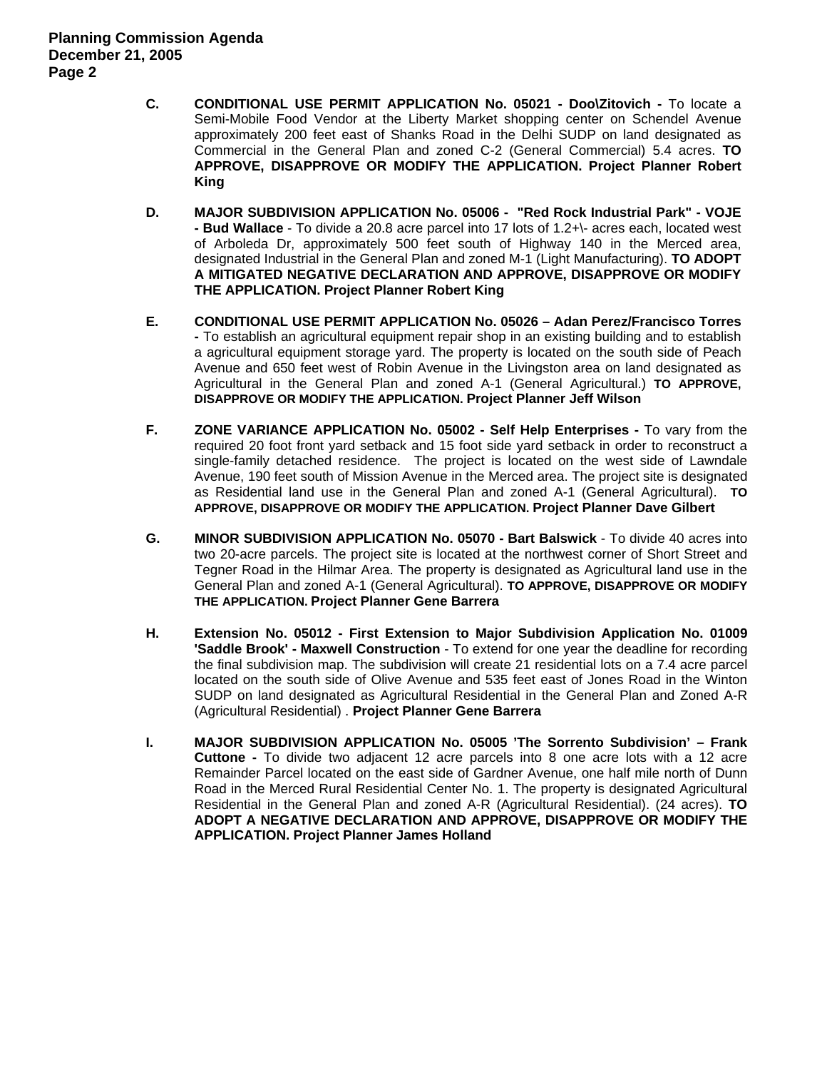- **C. CONDITIONAL USE PERMIT APPLICATION No. 05021 Doo\Zitovich** To locate a Semi-Mobile Food Vendor at the Liberty Market shopping center on Schendel Avenue approximately 200 feet east of Shanks Road in the Delhi SUDP on land designated as Commercial in the General Plan and zoned C-2 (General Commercial) 5.4 acres. **TO APPROVE, DISAPPROVE OR MODIFY THE APPLICATION. Project Planner Robert King**
- **D. MAJOR SUBDIVISION APPLICATION No. 05006 "Red Rock Industrial Park" VOJE - Bud Wallace** - To divide a 20.8 acre parcel into 17 lots of 1.2+\- acres each, located west of Arboleda Dr, approximately 500 feet south of Highway 140 in the Merced area, designated Industrial in the General Plan and zoned M-1 (Light Manufacturing). **TO ADOPT A MITIGATED NEGATIVE DECLARATION AND APPROVE, DISAPPROVE OR MODIFY THE APPLICATION. Project Planner Robert King**
- **E. CONDITIONAL USE PERMIT APPLICATION No. 05026 Adan Perez/Francisco Torres -** To establish an agricultural equipment repair shop in an existing building and to establish a agricultural equipment storage yard. The property is located on the south side of Peach Avenue and 650 feet west of Robin Avenue in the Livingston area on land designated as Agricultural in the General Plan and zoned A-1 (General Agricultural.) **TO APPROVE, DISAPPROVE OR MODIFY THE APPLICATION. Project Planner Jeff Wilson**
- **F. ZONE VARIANCE APPLICATION No. 05002 Self Help Enterprises** To vary from the required 20 foot front yard setback and 15 foot side yard setback in order to reconstruct a single-family detached residence. The project is located on the west side of Lawndale Avenue, 190 feet south of Mission Avenue in the Merced area. The project site is designated as Residential land use in the General Plan and zoned A-1 (General Agricultural). **TO APPROVE, DISAPPROVE OR MODIFY THE APPLICATION. Project Planner Dave Gilbert**
- **G. MINOR SUBDIVISION APPLICATION No. 05070 Bart Balswick**  To divide 40 acres into two 20-acre parcels. The project site is located at the northwest corner of Short Street and Tegner Road in the Hilmar Area. The property is designated as Agricultural land use in the General Plan and zoned A-1 (General Agricultural). **TO APPROVE, DISAPPROVE OR MODIFY THE APPLICATION. Project Planner Gene Barrera**
- **H. Extension No. 05012 First Extension to Major Subdivision Application No. 01009 'Saddle Brook' - Maxwell Construction** - To extend for one year the deadline for recording the final subdivision map. The subdivision will create 21 residential lots on a 7.4 acre parcel located on the south side of Olive Avenue and 535 feet east of Jones Road in the Winton SUDP on land designated as Agricultural Residential in the General Plan and Zoned A-R (Agricultural Residential) . **Project Planner Gene Barrera**
- **I. MAJOR SUBDIVISION APPLICATION No. 05005 'The Sorrento Subdivision' – Frank Cuttone -** To divide two adjacent 12 acre parcels into 8 one acre lots with a 12 acre Remainder Parcel located on the east side of Gardner Avenue, one half mile north of Dunn Road in the Merced Rural Residential Center No. 1. The property is designated Agricultural Residential in the General Plan and zoned A-R (Agricultural Residential). (24 acres). **TO ADOPT A NEGATIVE DECLARATION AND APPROVE, DISAPPROVE OR MODIFY THE APPLICATION. Project Planner James Holland**